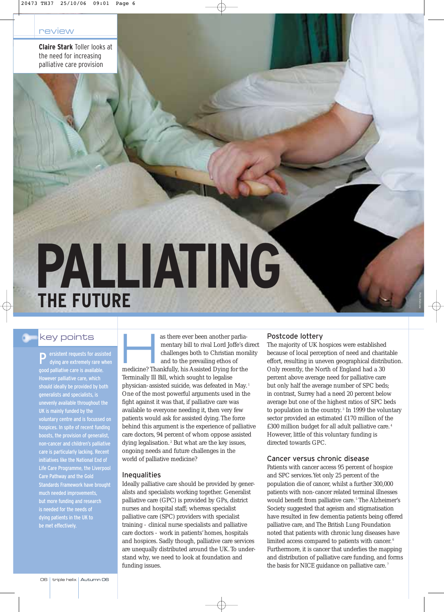**Claire Stark** Toller looks at the need for increasing palliative care provision

# **PALLIATING THE FUTURE**

### key points

P ersistent requests for assisted dying are extremely rare when good palliative care is available. However palliative care, which should ideally be provided by both generalists and specialists, is unevenly available throughout the UK is mainly funded by the voluntary centre and is focussed on hospices. In spite of recent funding boosts, the provision of generalist, non-cancer and children's palliative care is particularly lacking. Recent initiatives like the National End of Life Care Programme, the Liverpool Care Pathway and the Gold Standards Framework have brought much needed improvements, but more funding and research is needed for the needs of dying patients in the UK to be met effectively.

as there ever been another parlia-<br>mentary bill to rival Lord Joffe's d<br>challenges both to Christian mora<br>and to the prevailing ethos of<br>modicine? Thankfully his Assisted Dying for the mentary bill to rival Lord Joffe's direct challenges both to Christian morality and to the prevailing ethos of medicine? Thankfully, his Assisted Dying for the Terminally Ill Bill, which sought to legalise physician-assisted suicide, was defeated in May. <sup>1</sup> One of the most powerful arguments used in the fight against it was that, if palliative care was available to everyone needing it, then very few patients would ask for assisted dying. The force behind this argument is the experience of palliative care doctors, 94 percent of whom oppose assisted dying legalisation.<sup>2</sup> But what are the key issues, ongoing needs and future challenges in the world of palliative medicine?

#### Inequalities

Ideally palliative care should be provided by generalists and specialists working together. Generalist palliative care (GPC) is provided by GPs, district nurses and hospital staff; whereas specialist palliative care (SPC) providers with specialist training - clinical nurse specialists and palliative care doctors - work in patients' homes, hospitals and hospices. Sadly though, palliative care services are unequally distributed around the UK. To understand why, we need to look at foundation and funding issues.

#### Postcode lottery

The majority of UK hospices were established because of local perception of need and charitable effort, resulting in uneven geographical distribution. Only recently, the North of England had a 30 percent above average need for palliative care but only half the average number of SPC beds; in contrast, Surrey had a need 20 percent below average but one of the highest ratios of SPC beds to population in the country. <sup>3</sup> In 1999 the voluntary sector provided an estimated £170 million of the £300 million budget for all adult palliative care. <sup>4</sup> However, little of this voluntary funding is directed towards GPC.

#### Cancer versus chronic disease

Patients with cancer access 95 percent of hospice and SPC services.Yet only 25 percent of the population die of cancer, whilst a further 300,000 patients with non-cancer related terminal illnesses would benefit from palliative care.<sup>5</sup> The Alzheimer's Society suggested that ageism and stigmatisation have resulted in few dementia patients being offered palliative care, and The British Lung Foundation noted that patients with chronic lung diseases have limited access compared to patients with cancer. <sup>6</sup> Furthermore, it is cancer that underlies the mapping and distribution of palliative care funding, and forms the basis for NICE guidance on palliative care.<sup>7</sup>